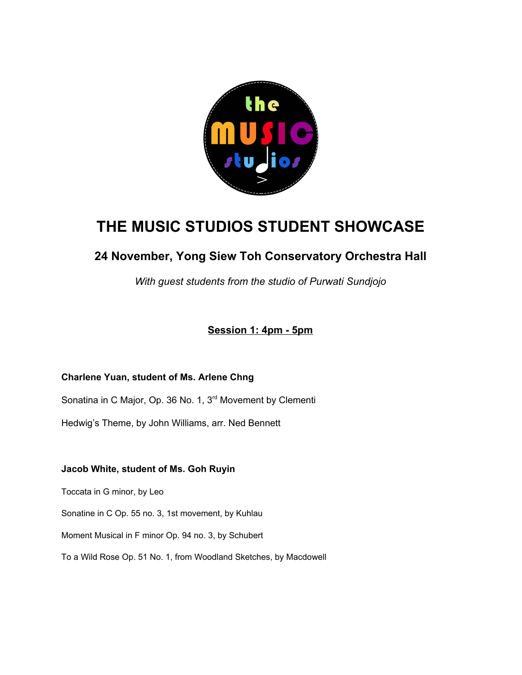

# **THE MUSIC STUDIOS STUDENT SHOWCASE**

# **24 November, Yong Siew Toh Conservatory Orchestra Hall**

*With guest students from the studio of Purwati Sundjojo*

**Session 1: 4pm - 5pm**

# **Charlene Yuan, student of Ms. Arlene Chng**

Sonatina in C Major, Op. 36 No. 1, 3<sup>rd</sup> Movement by Clementi

Hedwig's Theme, by John Williams, arr. Ned Bennett

# **Jacob White, student of Ms. Goh Ruyin**

Toccata in G minor, by Leo

Sonatine in C Op. 55 no. 3, 1st movement, by Kuhlau

Moment Musical in F minor Op. 94 no. 3, by Schubert

To a Wild Rose Op. 51 No. 1, from Woodland Sketches, by Macdowell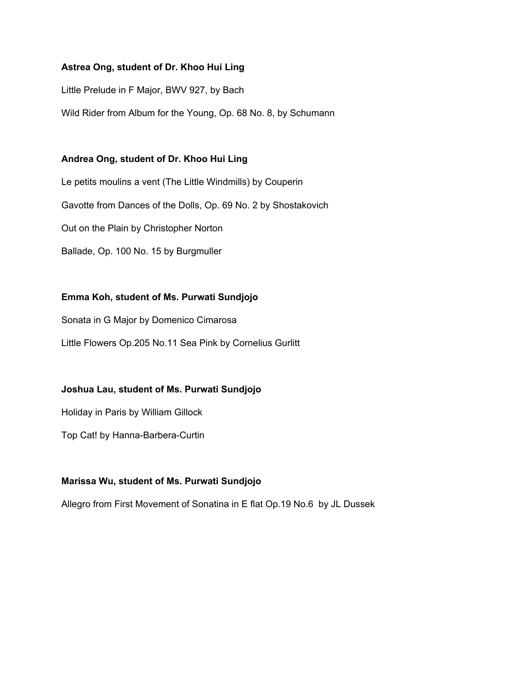#### **Astrea Ong, student of Dr. Khoo Hui Ling**

Little Prelude in F Major, BWV 927, by Bach

Wild Rider from Album for the Young, Op. 68 No. 8, by Schumann

#### **Andrea Ong, student of Dr. Khoo Hui Ling**

Le petits moulins a vent (The Little Windmills) by Couperin Gavotte from Dances of the Dolls, Op. 69 No. 2 by Shostakovich Out on the Plain by Christopher Norton Ballade, Op. 100 No. 15 by Burgmuller

# **Emma Koh, student of Ms. Purwati Sundjojo**

Sonata in G Major by Domenico Cimarosa

Little Flowers Op.205 No.11 Sea Pink by Cornelius Gurlitt

# **Joshua Lau, student of Ms. Purwati Sundjojo**

Holiday in Paris by William Gillock

Top Cat! by Hanna-Barbera-Curtin

# **Marissa Wu, student of Ms. Purwati Sundjojo**

Allegro from First Movement of Sonatina in E flat Op.19 No.6 by JL Dussek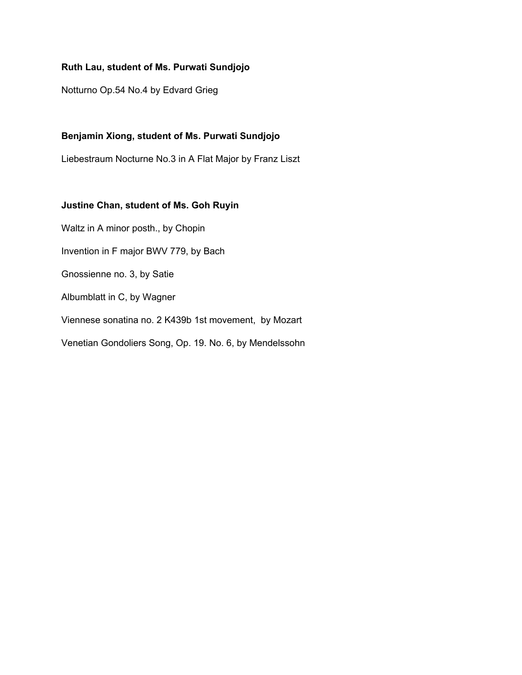#### **Ruth Lau, student of Ms. Purwati Sundjojo**

Notturno Op.54 No.4 by Edvard Grieg

# **Benjamin Xiong, student of Ms. Purwati Sundjojo**

Liebestraum Nocturne No.3 in A Flat Major by Franz Liszt

# **Justine Chan, student of Ms. Goh Ruyin**

Waltz in A minor posth., by Chopin Invention in F major BWV 779, by Bach Gnossienne no. 3, by Satie Albumblatt in C, by Wagner Viennese sonatina no. 2 K439b 1st movement, by Mozart Venetian Gondoliers Song, Op. 19. No. 6, by Mendelssohn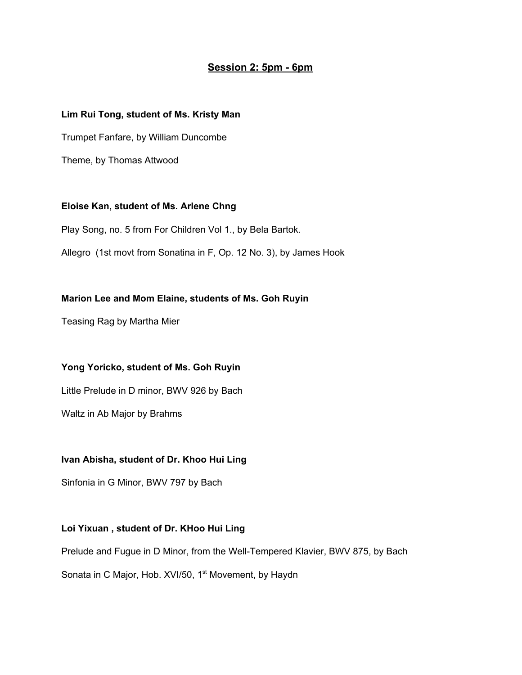# **Session 2: 5pm - 6pm**

#### **Lim Rui Tong, student of Ms. Kristy Man**

Trumpet Fanfare, by William Duncombe

Theme, by Thomas Attwood

# **Eloise Kan, student of Ms. Arlene Chng**

Play Song, no. 5 from For Children Vol 1., by Bela Bartok.

Allegro (1st movt from Sonatina in F, Op. 12 No. 3), by James Hook

#### **Marion Lee and Mom Elaine, students of Ms. Goh Ruyin**

Teasing Rag by Martha Mier

# **Yong Yoricko, student of Ms. Goh Ruyin**

Little Prelude in D minor, BWV 926 by Bach

Waltz in Ab Major by Brahms

#### **Ivan Abisha, student of Dr. Khoo Hui Ling**

Sinfonia in G Minor, BWV 797 by Bach

# **Loi Yixuan , student of Dr. KHoo Hui Ling**

Prelude and Fugue in D Minor, from the Well-Tempered Klavier, BWV 875, by Bach

Sonata in C Major, Hob. XVI/50, 1<sup>st</sup> Movement, by Haydn